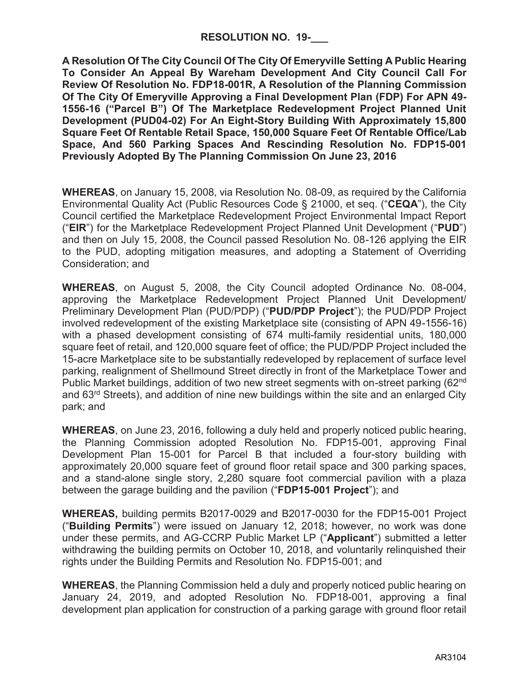**A Resolution Of The City Council Of The City Of Emeryville Setting A Public Hearing To Consider An Appeal By Wareham Development And City Council Call For Review Of Resolution No. FDP18-001R, A Resolution of the Planning Commission Of The City Of Emeryville Approving a Final Development Plan (FDP) For APN 49- 1556-16 ("Parcel B") Of The Marketplace Redevelopment Project Planned Unit Development (PUD04-02) For An Eight-Story Building With Approximately 15,800 Square Feet Of Rentable Retail Space, 150,000 Square Feet Of Rentable Office/Lab Space, And 560 Parking Spaces And Rescinding Resolution No. FDP15-001 Previously Adopted By The Planning Commission On June 23, 2016**

**WHEREAS**, on January 15, 2008, via Resolution No. 08-09, as required by the California Environmental Quality Act (Public Resources Code § 21000, et seq. ("**CEQA**"), the City Council certified the Marketplace Redevelopment Project Environmental Impact Report ("**EIR**") for the Marketplace Redevelopment Project Planned Unit Development ("**PUD**") and then on July 15, 2008, the Council passed Resolution No. 08-126 applying the EIR to the PUD, adopting mitigation measures, and adopting a Statement of Overriding Consideration; and

**WHEREAS**, on August 5, 2008, the City Council adopted Ordinance No. 08-004, approving the Marketplace Redevelopment Project Planned Unit Development/ Preliminary Development Plan (PUD/PDP) ("**PUD/PDP Project**"); the PUD/PDP Project involved redevelopment of the existing Marketplace site (consisting of APN 49-1556-16) with a phased development consisting of 674 multi-family residential units, 180,000 square feet of retail, and 120,000 square feet of office; the PUD/PDP Project included the 15-acre Marketplace site to be substantially redeveloped by replacement of surface level parking, realignment of Shellmound Street directly in front of the Marketplace Tower and Public Market buildings, addition of two new street segments with on-street parking (62<sup>nd</sup>) and 63rd Streets), and addition of nine new buildings within the site and an enlarged City park; and

**WHEREAS**, on June 23, 2016, following a duly held and properly noticed public hearing, the Planning Commission adopted Resolution No. FDP15-001, approving Final Development Plan 15-001 for Parcel B that included a four-story building with approximately 20,000 square feet of ground floor retail space and 300 parking spaces, and a stand-alone single story, 2,280 square foot commercial pavilion with a plaza between the garage building and the pavilion ("**FDP15-001 Project**"); and

**WHEREAS,** building permits B2017-0029 and B2017-0030 for the FDP15-001 Project ("**Building Permits**") were issued on January 12, 2018; however, no work was done under these permits, and AG-CCRP Public Market LP ("**Applicant**") submitted a letter withdrawing the building permits on October 10, 2018, and voluntarily relinquished their rights under the Building Permits and Resolution No. FDP15-001; and

**WHEREAS**, the Planning Commission held a duly and properly noticed public hearing on January 24, 2019, and adopted Resolution No. FDP18-001, approving a final development plan application for construction of a parking garage with ground floor retail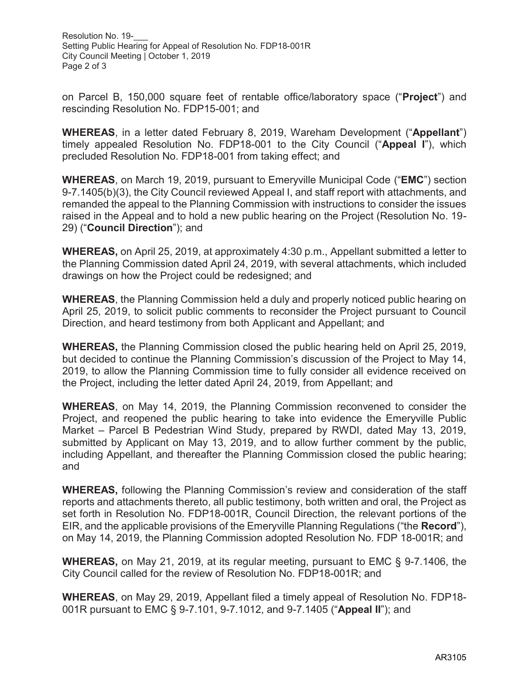Resolution No. 19-Setting Public Hearing for Appeal of Resolution No. FDP18-001R City Council Meeting | October 1, 2019 Page 2 of 3

on Parcel B, 150,000 square feet of rentable office/laboratory space ("**Project**") and rescinding Resolution No. FDP15-001; and

**WHEREAS**, in a letter dated February 8, 2019, Wareham Development ("**Appellant**") timely appealed Resolution No. FDP18-001 to the City Council ("**Appeal I**"), which precluded Resolution No. FDP18-001 from taking effect; and

**WHEREAS**, on March 19, 2019, pursuant to Emeryville Municipal Code ("**EMC**") section 9-7.1405(b)(3), the City Council reviewed Appeal I, and staff report with attachments, and remanded the appeal to the Planning Commission with instructions to consider the issues raised in the Appeal and to hold a new public hearing on the Project (Resolution No. 19- 29) ("**Council Direction**"); and

**WHEREAS,** on April 25, 2019, at approximately 4:30 p.m., Appellant submitted a letter to the Planning Commission dated April 24, 2019, with several attachments, which included drawings on how the Project could be redesigned; and

**WHEREAS**, the Planning Commission held a duly and properly noticed public hearing on April 25, 2019, to solicit public comments to reconsider the Project pursuant to Council Direction, and heard testimony from both Applicant and Appellant; and

**WHEREAS,** the Planning Commission closed the public hearing held on April 25, 2019, but decided to continue the Planning Commission's discussion of the Project to May 14, 2019, to allow the Planning Commission time to fully consider all evidence received on the Project, including the letter dated April 24, 2019, from Appellant; and

**WHEREAS**, on May 14, 2019, the Planning Commission reconvened to consider the Project, and reopened the public hearing to take into evidence the Emeryville Public Market – Parcel B Pedestrian Wind Study, prepared by RWDI, dated May 13, 2019, submitted by Applicant on May 13, 2019, and to allow further comment by the public, including Appellant, and thereafter the Planning Commission closed the public hearing; and

**WHEREAS,** following the Planning Commission's review and consideration of the staff reports and attachments thereto, all public testimony, both written and oral, the Project as set forth in Resolution No. FDP18-001R, Council Direction, the relevant portions of the EIR, and the applicable provisions of the Emeryville Planning Regulations ("the **Record**"), on May 14, 2019, the Planning Commission adopted Resolution No. FDP 18-001R; and

**WHEREAS,** on May 21, 2019, at its regular meeting, pursuant to EMC § 9-7.1406, the City Council called for the review of Resolution No. FDP18-001R; and

**WHEREAS**, on May 29, 2019, Appellant filed a timely appeal of Resolution No. FDP18- 001R pursuant to EMC § 9-7.101, 9-7.1012, and 9-7.1405 ("**Appeal II**"); and